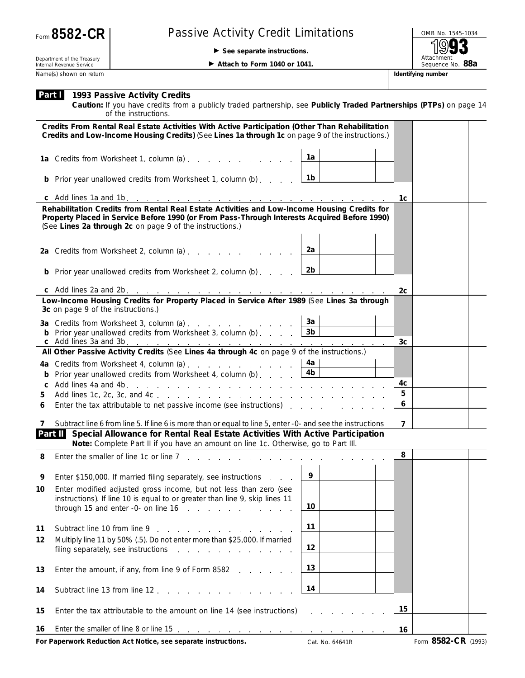## Passive Activity Credit Limitations **Passive Activity Credit Limitations**

© **See separate instructions.**

Attachment<br>Sequence No. 88a

Department of the Treasury Internal Revenue Service Name(s) shown on return **Identifying number Identifying number Identifying number** 

▶ Attach to Form 1040 or 1041.

|        | <b>Part 1993 Passive Activity Credits</b><br>Caution: If you have credits from a publicly traded partnership, see Publicly Traded Partnerships (PTPs) on page 14<br>of the instructions.                                                                 |                 |                |                     |  |
|--------|----------------------------------------------------------------------------------------------------------------------------------------------------------------------------------------------------------------------------------------------------------|-----------------|----------------|---------------------|--|
|        | Credits From Rental Real Estate Activities With Active Participation (Other Than Rehabilitation<br>Credits and Low-Income Housing Credits) (See Lines 1a through 1c on page 9 of the instructions.)                                                      |                 |                |                     |  |
|        | 1a Credits from Worksheet 1, column (a)                                                                                                                                                                                                                  | 1a              |                |                     |  |
|        | <b>b</b> Prior year unallowed credits from Worksheet 1, column (b)                                                                                                                                                                                       | 1b              |                |                     |  |
|        |                                                                                                                                                                                                                                                          |                 | 1c             |                     |  |
|        | Rehabilitation Credits from Rental Real Estate Activities and Low-Income Housing Credits for<br>Property Placed in Service Before 1990 (or From Pass-Through Interests Acquired Before 1990)<br>(See Lines 2a through 2c on page 9 of the instructions.) |                 |                |                     |  |
|        | 2a Credits from Worksheet 2, column (a)                                                                                                                                                                                                                  | 2a              |                |                     |  |
|        | <b>b</b> Prior year unallowed credits from Worksheet 2, column (b)                                                                                                                                                                                       | 2b              |                |                     |  |
|        |                                                                                                                                                                                                                                                          |                 | 2c             |                     |  |
|        | Low-Income Housing Credits for Property Placed in Service After 1989 (See Lines 3a through<br>3c on page 9 of the instructions.)                                                                                                                         |                 |                |                     |  |
|        | <b>3a</b> Credits from Worksheet 3, column (a) $\ldots$ $\ldots$ $\ldots$ $\ldots$ $\frac{3a}{a}$                                                                                                                                                        |                 |                |                     |  |
|        |                                                                                                                                                                                                                                                          |                 | 3 <sub>c</sub> |                     |  |
|        | All Other Passive Activity Credits (See Lines 4a through 4c on page 9 of the instructions.)                                                                                                                                                              |                 |                |                     |  |
|        | 4a Credits from Worksheet 4, column (a) $\ldots$ $\ldots$ $\ldots$ $\ldots$ $\lfloor$ 4a                                                                                                                                                                 |                 |                |                     |  |
|        | Prior year unallowed credits from Worksheet 4, column (b) $\ldots$ $\boxed{4b}$                                                                                                                                                                          |                 |                |                     |  |
| C      |                                                                                                                                                                                                                                                          |                 | 4c<br>5        |                     |  |
| 5<br>6 | Enter the tax attributable to net passive income (see instructions) enterstanding the tax attributable to net passive income (see instructions)                                                                                                          |                 | 6              |                     |  |
|        |                                                                                                                                                                                                                                                          |                 |                |                     |  |
| 7      | Subtract line 6 from line 5. If line 6 is more than or equal to line 5, enter -0- and see the instructions                                                                                                                                               |                 | $\overline{7}$ |                     |  |
|        | Part II Special Allowance for Rental Real Estate Activities With Active Participation<br>Note: Complete Part II if you have an amount on line 1c. Otherwise, go to Part III.                                                                             |                 |                |                     |  |
| 8      | Enter the smaller of line 1c or line 7                                                                                                                                                                                                                   |                 | 8              |                     |  |
|        |                                                                                                                                                                                                                                                          |                 |                |                     |  |
| 9      | Enter \$150,000. If married filing separately, see instructions                                                                                                                                                                                          | 9               |                |                     |  |
| 10     | Enter modified adjusted gross income, but not less than zero (see<br>instructions). If line 10 is equal to or greater than line 9, skip lines 11<br>through 15 and enter -0- on line 16                                                                  | 10              |                |                     |  |
| 11     |                                                                                                                                                                                                                                                          | 11              |                |                     |  |
| 12     | Multiply line 11 by 50% (.5). Do not enter more than \$25,000. If married<br>filing separately, see instructions entitled and a separately see instructions                                                                                              | 12              |                |                     |  |
| 13     | Enter the amount, if any, from line 9 of Form 8582                                                                                                                                                                                                       | 13              |                |                     |  |
| 14     | Subtract line 13 from line 12, , , , , , , , , , , ,                                                                                                                                                                                                     | 14              |                |                     |  |
| 15     | Enter the tax attributable to the amount on line 14 (see instructions)                                                                                                                                                                                   |                 | 15             |                     |  |
| 16     | Enter the smaller of line 8 or line 15 $\ldots$ $\ldots$ $\ldots$ $\ldots$ $\ldots$ $\ldots$ $\ldots$ $\ldots$                                                                                                                                           |                 | 16             |                     |  |
|        | For Paperwork Reduction Act Notice, see separate instructions.                                                                                                                                                                                           | Cat. No. 64641R |                | Form 8582-CR (1993) |  |